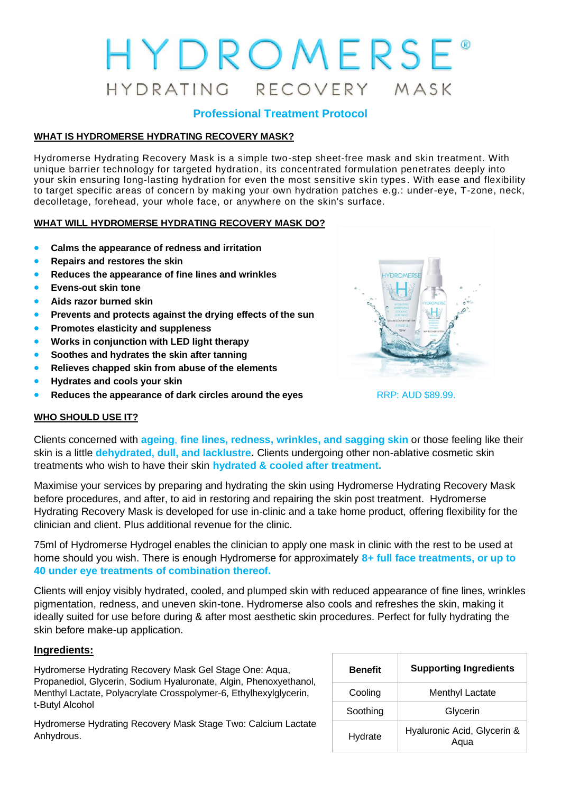# HYDROMERSE® HYDRATING RECOVERY MASK

## **Professional Treatment Protocol**

## **WHAT IS HYDROMERSE HYDRATING RECOVERY MASK?**

Hydromerse Hydrating Recovery Mask is a simple two-step sheet-free mask and skin treatment. With unique barrier technology for targeted hydration, its concentrated formulation penetrates deeply into your skin ensuring long-lasting hydration for even the most sensitive skin types . With ease and flexibility to target specific areas of concern by making your own hydration patches e.g.: under-eye, T-zone, neck, decolletage, forehead, your whole face, or anywhere on the skin's surface.

#### **WHAT WILL HYDROMERSE HYDRATING RECOVERY MASK DO?**

- **Calms the appearance of redness and irritation**
- **Repairs and restores the skin**
- **Reduces the appearance of fine lines and wrinkles**
- **Evens-out skin tone**
- **Aids razor burned skin**
- **Prevents and protects against the drying effects of the sun**
- **Promotes elasticity and suppleness**
- **Works in conjunction with LED light therapy**
- **Soothes and hydrates the skin after tanning**
- **Relieves chapped skin from abuse of the elements**
- **Hydrates and cools your skin**
- **Reduces the appearance of dark circles around the eyes** RRP: AUD \$89.99.



## **WHO SHOULD USE IT?**

Clients concerned with **ageing**, **fine lines, redness, wrinkles, and sagging skin** or those feeling like their skin is a little **dehydrated, dull, and lacklustre.** Clients undergoing other non-ablative cosmetic skin treatments who wish to have their skin **hydrated & cooled after treatment.** 

Maximise your services by preparing and hydrating the skin using Hydromerse Hydrating Recovery Mask before procedures, and after, to aid in restoring and repairing the skin post treatment. Hydromerse Hydrating Recovery Mask is developed for use in-clinic and a take home product, offering flexibility for the clinician and client. Plus additional revenue for the clinic.

75ml of Hydromerse Hydrogel enables the clinician to apply one mask in clinic with the rest to be used at home should you wish. There is enough Hydromerse for approximately **8+ full face treatments, or up to 40 under eye treatments of combination thereof.** 

Clients will enjoy visibly hydrated, cooled, and plumped skin with reduced appearance of fine lines, wrinkles pigmentation, redness, and uneven skin-tone. Hydromerse also cools and refreshes the skin, making it ideally suited for use before during & after most aesthetic skin procedures. Perfect for fully hydrating the skin before make-up application.

#### **Ingredients:**

Hydromerse Hydrating Recovery Mask Gel Stage One: Aqua, Propanediol, Glycerin, Sodium Hyaluronate, Algin, Phenoxyethanol, Menthyl Lactate, Polyacrylate Crosspolymer-6, Ethylhexylglycerin, t-Butyl Alcohol

Hydromerse Hydrating Recovery Mask Stage Two: Calcium Lactate Anhydrous.

| <b>Benefit</b> | <b>Supporting Ingredients</b>       |  |  |
|----------------|-------------------------------------|--|--|
| Cooling        | <b>Menthyl Lactate</b>              |  |  |
| Soothing       | Glycerin                            |  |  |
| Hydrate        | Hyaluronic Acid, Glycerin &<br>Aqua |  |  |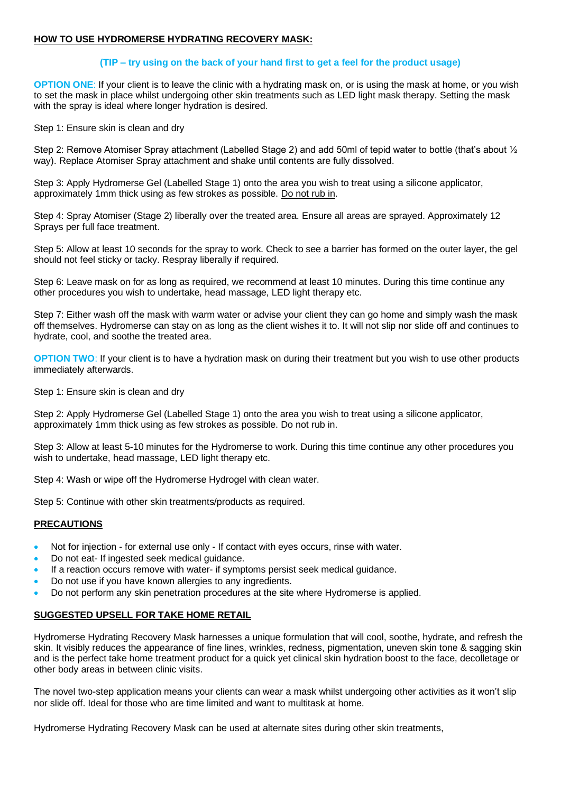#### **HOW TO USE HYDROMERSE HYDRATING RECOVERY MASK:**

#### **(TIP – try using on the back of your hand first to get a feel for the product usage)**

**OPTION ONE:** If your client is to leave the clinic with a hydrating mask on, or is using the mask at home, or you wish to set the mask in place whilst undergoing other skin treatments such as LED light mask therapy. Setting the mask with the spray is ideal where longer hydration is desired.

Step 1: Ensure skin is clean and dry

Step 2: Remove Atomiser Spray attachment (Labelled Stage 2) and add 50ml of tepid water to bottle (that's about ½ way). Replace Atomiser Spray attachment and shake until contents are fully dissolved.

Step 3: Apply Hydromerse Gel (Labelled Stage 1) onto the area you wish to treat using a silicone applicator, approximately 1mm thick using as few strokes as possible. Do not rub in.

Step 4: Spray Atomiser (Stage 2) liberally over the treated area. Ensure all areas are sprayed. Approximately 12 Sprays per full face treatment.

Step 5: Allow at least 10 seconds for the spray to work. Check to see a barrier has formed on the outer layer, the gel should not feel sticky or tacky. Respray liberally if required.

Step 6: Leave mask on for as long as required, we recommend at least 10 minutes. During this time continue any other procedures you wish to undertake, head massage, LED light therapy etc.

Step 7: Either wash off the mask with warm water or advise your client they can go home and simply wash the mask off themselves. Hydromerse can stay on as long as the client wishes it to. It will not slip nor slide off and continues to hydrate, cool, and soothe the treated area.

**OPTION TWO:** If your client is to have a hydration mask on during their treatment but you wish to use other products immediately afterwards.

Step 1: Ensure skin is clean and dry

Step 2: Apply Hydromerse Gel (Labelled Stage 1) onto the area you wish to treat using a silicone applicator, approximately 1mm thick using as few strokes as possible. Do not rub in.

Step 3: Allow at least 5-10 minutes for the Hydromerse to work. During this time continue any other procedures you wish to undertake, head massage, LED light therapy etc.

Step 4: Wash or wipe off the Hydromerse Hydrogel with clean water.

Step 5: Continue with other skin treatments/products as required.

#### **PRECAUTIONS**

- Not for injection for external use only If contact with eyes occurs, rinse with water.
- Do not eat- If ingested seek medical guidance.
- If a reaction occurs remove with water- if symptoms persist seek medical guidance.
- Do not use if you have known allergies to any ingredients.
- Do not perform any skin penetration procedures at the site where Hydromerse is applied.

#### **SUGGESTED UPSELL FOR TAKE HOME RETAIL**

Hydromerse Hydrating Recovery Mask harnesses a unique formulation that will cool, soothe, hydrate, and refresh the skin. It visibly reduces the appearance of fine lines, wrinkles, redness, pigmentation, uneven skin tone & sagging skin and is the perfect take home treatment product for a quick yet clinical skin hydration boost to the face, decolletage or other body areas in between clinic visits.

The novel two-step application means your clients can wear a mask whilst undergoing other activities as it won't slip nor slide off. Ideal for those who are time limited and want to multitask at home.

Hydromerse Hydrating Recovery Mask can be used at alternate sites during other skin treatments,